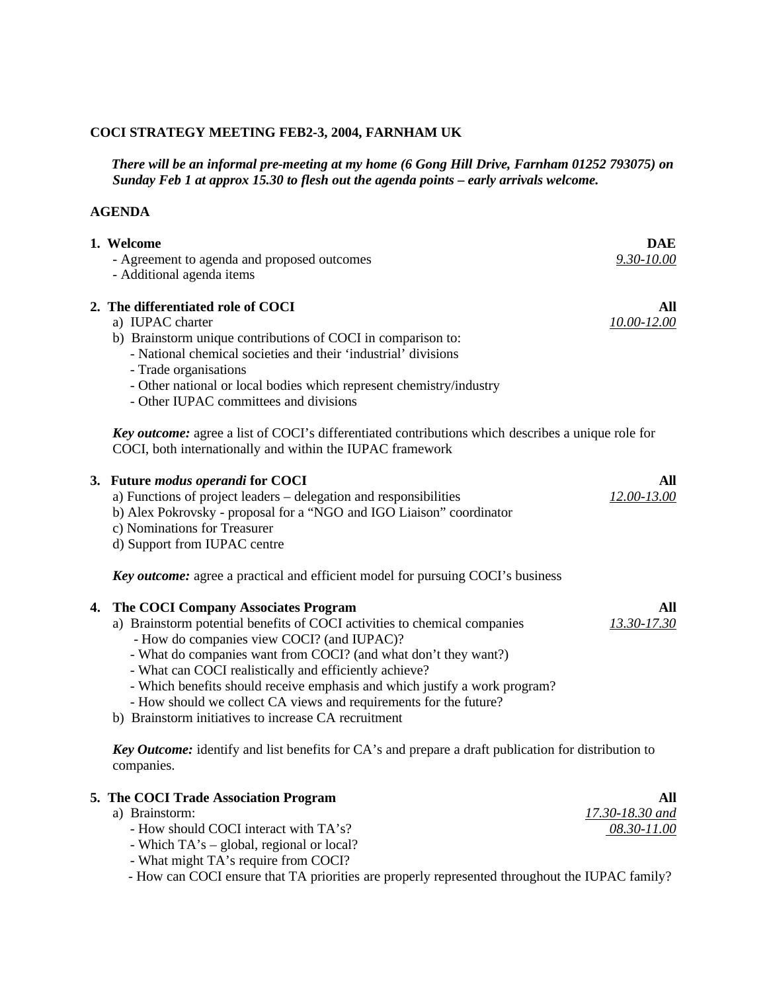#### **COCI STRATEGY MEETING FEB2-3, 2004, FARNHAM UK**

 *There will be an informal pre-meeting at my home (6 Gong Hill Drive, Farnham 01252 793075) on Sunday Feb 1 at approx 15.30 to flesh out the agenda points – early arrivals welcome.*

#### **AGENDA**

|    | 1. Welcome                                                                                                                                                                                                                                                                                                                                                                                                                                                                                             | <b>DAE</b>                            |
|----|--------------------------------------------------------------------------------------------------------------------------------------------------------------------------------------------------------------------------------------------------------------------------------------------------------------------------------------------------------------------------------------------------------------------------------------------------------------------------------------------------------|---------------------------------------|
|    | - Agreement to agenda and proposed outcomes<br>- Additional agenda items                                                                                                                                                                                                                                                                                                                                                                                                                               | 9.30-10.00                            |
|    | 2. The differentiated role of COCI<br>a) IUPAC charter<br>b) Brainstorm unique contributions of COCI in comparison to:<br>- National chemical societies and their 'industrial' divisions<br>- Trade organisations<br>- Other national or local bodies which represent chemistry/industry<br>- Other IUPAC committees and divisions                                                                                                                                                                     | All<br>10.00-12.00                    |
|    | <b>Key outcome:</b> agree a list of COCI's differentiated contributions which describes a unique role for<br>COCI, both internationally and within the IUPAC framework                                                                                                                                                                                                                                                                                                                                 |                                       |
|    | 3. Future modus operandi for COCI<br>a) Functions of project leaders – delegation and responsibilities<br>b) Alex Pokrovsky - proposal for a "NGO and IGO Liaison" coordinator<br>c) Nominations for Treasurer<br>d) Support from IUPAC centre                                                                                                                                                                                                                                                         | All<br>12.00-13.00                    |
|    | <b>Key outcome:</b> agree a practical and efficient model for pursuing COCI's business                                                                                                                                                                                                                                                                                                                                                                                                                 |                                       |
| 4. | The COCI Company Associates Program<br>a) Brainstorm potential benefits of COCI activities to chemical companies<br>- How do companies view COCI? (and IUPAC)?<br>- What do companies want from COCI? (and what don't they want?)<br>- What can COCI realistically and efficiently achieve?<br>- Which benefits should receive emphasis and which justify a work program?<br>- How should we collect CA views and requirements for the future?<br>b) Brainstorm initiatives to increase CA recruitment | All<br>13.30-17.30                    |
|    | <b>Key Outcome:</b> identify and list benefits for CA's and prepare a draft publication for distribution to<br>companies.                                                                                                                                                                                                                                                                                                                                                                              |                                       |
|    | 5. The COCI Trade Association Program<br>a) Brainstorm:<br>- How should COCI interact with TA's?                                                                                                                                                                                                                                                                                                                                                                                                       | All<br>17.30-18.30 and<br>08.30-11.00 |

- How can COCI ensure that TA priorities are properly represented throughout the IUPAC family?

 - Which TA's – global, regional or local? - What might TA's require from COCI?